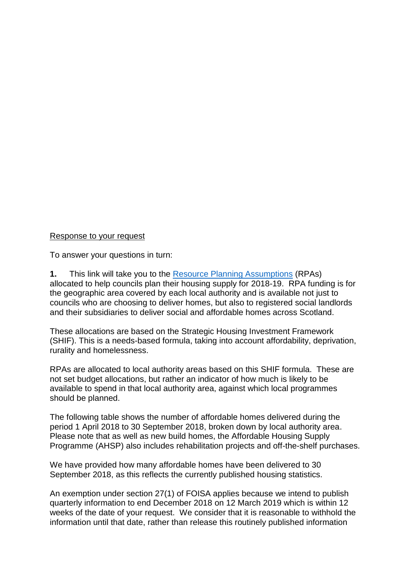## Response to your request

To answer your questions in turn:

**1.** This link will take you to the [Resource Planning Assumptions](https://www.gov.scot/publications/affordable-housing-resource-planning-assumptions-to-councils-2018-2019/) (RPAs) allocated to help councils plan their housing supply for 2018-19. RPA funding is for the geographic area covered by each local authority and is available not just to councils who are choosing to deliver homes, but also to registered social landlords and their subsidiaries to deliver social and affordable homes across Scotland.

These allocations are based on the Strategic Housing Investment Framework (SHIF). This is a needs-based formula, taking into account affordability, deprivation, rurality and homelessness.

RPAs are allocated to local authority areas based on this SHIF formula. These are not set budget allocations, but rather an indicator of how much is likely to be available to spend in that local authority area, against which local programmes should be planned.

The following table shows the number of affordable homes delivered during the period 1 April 2018 to 30 September 2018, broken down by local authority area. Please note that as well as new build homes, the Affordable Housing Supply Programme (AHSP) also includes rehabilitation projects and off-the-shelf purchases.

We have provided how many affordable homes have been delivered to 30 September 2018, as this reflects the currently published housing statistics.

An exemption under section 27(1) of FOISA applies because we intend to publish quarterly information to end December 2018 on 12 March 2019 which is within 12 weeks of the date of your request. We consider that it is reasonable to withhold the information until that date, rather than release this routinely published information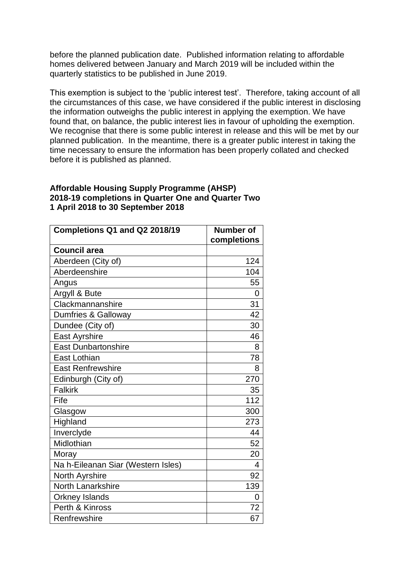before the planned publication date. Published information relating to affordable homes delivered between January and March 2019 will be included within the quarterly statistics to be published in June 2019.

This exemption is subject to the 'public interest test'. Therefore, taking account of all the circumstances of this case, we have considered if the public interest in disclosing the information outweighs the public interest in applying the exemption. We have found that, on balance, the public interest lies in favour of upholding the exemption. We recognise that there is some public interest in release and this will be met by our planned publication. In the meantime, there is a greater public interest in taking the time necessary to ensure the information has been properly collated and checked before it is published as planned.

## **Affordable Housing Supply Programme (AHSP) 2018-19 completions in Quarter One and Quarter Two 1 April 2018 to 30 September 2018**

| Completions Q1 and Q2 2018/19      | Number of<br>completions |
|------------------------------------|--------------------------|
| <b>Council area</b>                |                          |
| Aberdeen (City of)                 | 124                      |
| Aberdeenshire                      | 104                      |
| Angus                              | 55                       |
| Argyll & Bute                      | 0                        |
| Clackmannanshire                   | 31                       |
| Dumfries & Galloway                | 42                       |
| Dundee (City of)                   | 30                       |
| East Ayrshire                      | 46                       |
| <b>East Dunbartonshire</b>         | 8                        |
| <b>East Lothian</b>                | 78                       |
| <b>East Renfrewshire</b>           | 8                        |
| Edinburgh (City of)                | 270                      |
| <b>Falkirk</b>                     | 35                       |
| Fife                               | 112                      |
| Glasgow                            | 300                      |
| Highland                           | 273                      |
| Inverclyde                         | 44                       |
| Midlothian                         | 52                       |
| Moray                              | 20                       |
| Na h-Eileanan Siar (Western Isles) | 4                        |
| North Ayrshire                     | 92                       |
| <b>North Lanarkshire</b>           | 139                      |
| <b>Orkney Islands</b>              | 0                        |
| Perth & Kinross                    | 72                       |
| Renfrewshire                       | 67                       |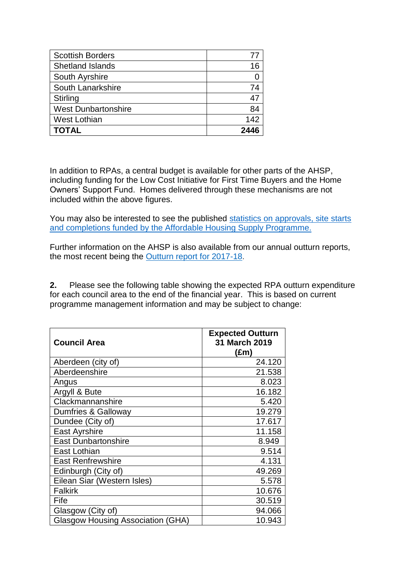| <b>Scottish Borders</b>    |      |
|----------------------------|------|
| <b>Shetland Islands</b>    | 16   |
| South Ayrshire             |      |
| South Lanarkshire          | 74   |
| <b>Stirling</b>            | 47   |
| <b>West Dunbartonshire</b> | 84   |
| <b>West Lothian</b>        | 142  |
| <b>TOTAL</b>               | 2446 |

In addition to RPAs, a central budget is available for other parts of the AHSP, including funding for the Low Cost Initiative for First Time Buyers and the Home Owners' Support Fund. Homes delivered through these mechanisms are not included within the above figures.

You may also be interested to see the published [statistics on approvals, site starts](https://www2.gov.scot/Topics/Statistics/Browse/Housing-Regeneration/HSfS/NewBuild/AHSPtables)  [and completions funded by the Affordable Housing Supply Programme.](https://www2.gov.scot/Topics/Statistics/Browse/Housing-Regeneration/HSfS/NewBuild/AHSPtables)

Further information on the AHSP is also available from our annual outturn reports, the most recent being the [Outturn report for 2017-18.](https://www.gov.scot/publications/affordable-housing-supply-programme-out-turn-report-2017-2018/)

**2.** Please see the following table showing the expected RPA outturn expenditure for each council area to the end of the financial year. This is based on current programme management information and may be subject to change:

| <b>Council Area</b>                      | <b>Expected Outturn</b><br>31 March 2019<br>(£m) |
|------------------------------------------|--------------------------------------------------|
| Aberdeen (city of)                       | 24.120                                           |
| Aberdeenshire                            | 21.538                                           |
| Angus                                    | 8.023                                            |
| Argyll & Bute                            | 16.182                                           |
| Clackmannanshire                         | 5.420                                            |
| Dumfries & Galloway                      | 19.279                                           |
| Dundee (City of)                         | 17.617                                           |
| East Ayrshire                            | 11.158                                           |
| <b>East Dunbartonshire</b>               | 8.949                                            |
| East Lothian                             | 9.514                                            |
| <b>East Renfrewshire</b>                 | 4.131                                            |
| Edinburgh (City of)                      | 49.269                                           |
| Eilean Siar (Western Isles)              | 5.578                                            |
| <b>Falkirk</b>                           | 10.676                                           |
| Fife                                     | 30.519                                           |
| Glasgow (City of)                        | 94.066                                           |
| <b>Glasgow Housing Association (GHA)</b> | 10.943                                           |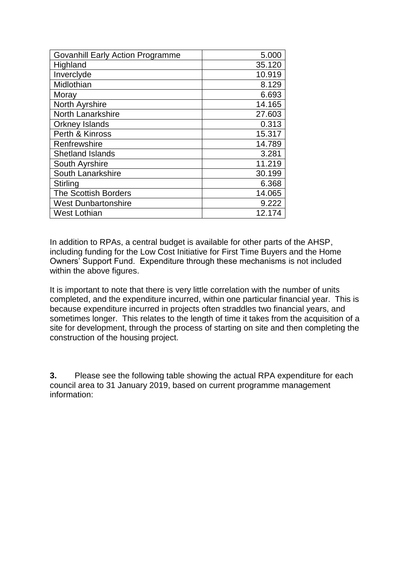| <b>Govanhill Early Action Programme</b> | 5.000  |
|-----------------------------------------|--------|
| Highland                                | 35.120 |
| Inverclyde                              | 10.919 |
| Midlothian                              | 8.129  |
| Moray                                   | 6.693  |
| North Ayrshire                          | 14.165 |
| North Lanarkshire                       | 27.603 |
| <b>Orkney Islands</b>                   | 0.313  |
| Perth & Kinross                         | 15.317 |
| Renfrewshire                            | 14.789 |
| <b>Shetland Islands</b>                 | 3.281  |
| South Ayrshire                          | 11.219 |
| South Lanarkshire                       | 30.199 |
| Stirling                                | 6.368  |
| <b>The Scottish Borders</b>             | 14.065 |
| <b>West Dunbartonshire</b>              | 9.222  |
| <b>West Lothian</b>                     | 12.174 |

In addition to RPAs, a central budget is available for other parts of the AHSP, including funding for the Low Cost Initiative for First Time Buyers and the Home Owners' Support Fund. Expenditure through these mechanisms is not included within the above figures.

It is important to note that there is very little correlation with the number of units completed, and the expenditure incurred, within one particular financial year. This is because expenditure incurred in projects often straddles two financial years, and sometimes longer. This relates to the length of time it takes from the acquisition of a site for development, through the process of starting on site and then completing the construction of the housing project.

**3.** Please see the following table showing the actual RPA expenditure for each council area to 31 January 2019, based on current programme management information: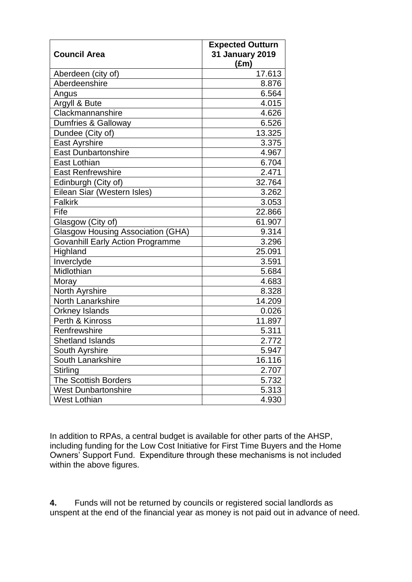| <b>Council Area</b>                      | <b>Expected Outturn</b><br><b>31 January 2019</b><br>$(\text{Em})$ |
|------------------------------------------|--------------------------------------------------------------------|
| Aberdeen (city of)                       | 17.613                                                             |
| Aberdeenshire                            | 8.876                                                              |
| Angus                                    | 6.564                                                              |
| Argyll & Bute                            | 4.015                                                              |
| Clackmannanshire                         | 4.626                                                              |
| Dumfries & Galloway                      | 6.526                                                              |
| Dundee (City of)                         | 13.325                                                             |
| East Ayrshire                            | 3.375                                                              |
| <b>East Dunbartonshire</b>               | 4.967                                                              |
| East Lothian                             | 6.704                                                              |
| East Renfrewshire                        | 2.471                                                              |
| Edinburgh (City of)                      | 32.764                                                             |
| Eilean Siar (Western Isles)              | 3.262                                                              |
| <b>Falkirk</b>                           | 3.053                                                              |
| Fife                                     | 22.866                                                             |
| Glasgow (City of)                        | 61.907                                                             |
| <b>Glasgow Housing Association (GHA)</b> | 9.314                                                              |
| <b>Govanhill Early Action Programme</b>  | 3.296                                                              |
| Highland                                 | 25.091                                                             |
| Inverclyde                               | 3.591                                                              |
| Midlothian                               | 5.684                                                              |
| Moray                                    | 4.683                                                              |
| North Ayrshire                           | 8.328                                                              |
| <b>North Lanarkshire</b>                 | 14.209                                                             |
| <b>Orkney Islands</b>                    | 0.026                                                              |
| Perth & Kinross                          | 11.897                                                             |
| Renfrewshire                             | 5.311                                                              |
| <b>Shetland Islands</b>                  | 2.772                                                              |
| South Ayrshire                           | 5.947                                                              |
| South Lanarkshire                        | 16.116                                                             |
| Stirling                                 | 2.707                                                              |
| <b>The Scottish Borders</b>              | 5.732                                                              |
| <b>West Dunbartonshire</b>               | 5.313                                                              |
| <b>West Lothian</b>                      | 4.930                                                              |

In addition to RPAs, a central budget is available for other parts of the AHSP, including funding for the Low Cost Initiative for First Time Buyers and the Home Owners' Support Fund. Expenditure through these mechanisms is not included within the above figures.

**4.** Funds will not be returned by councils or registered social landlords as unspent at the end of the financial year as money is not paid out in advance of need.